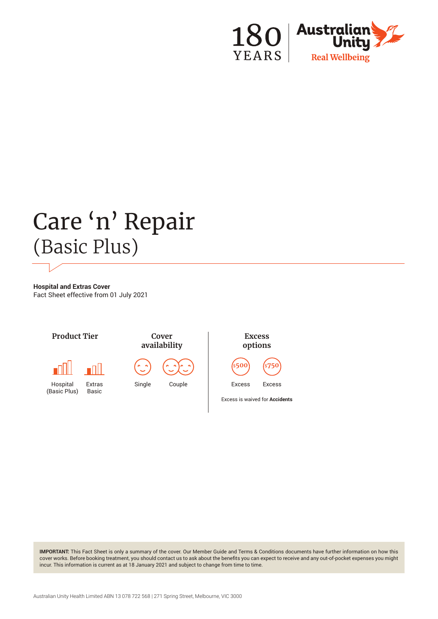

# Care 'n' Repair (Basic Plus)

**Hospital and Extras Cover** Fact Sheet effective from 01 July 2021



**IMPORTANT:** This Fact Sheet is only a summary of the cover. Our Member Guide and Terms & Conditions documents have further information on how this cover works. Before booking treatment, you should contact us to ask about the benefits you can expect to receive and any out-of-pocket expenses you might incur. This information is current as at 18 January 2021 and subject to change from time to time.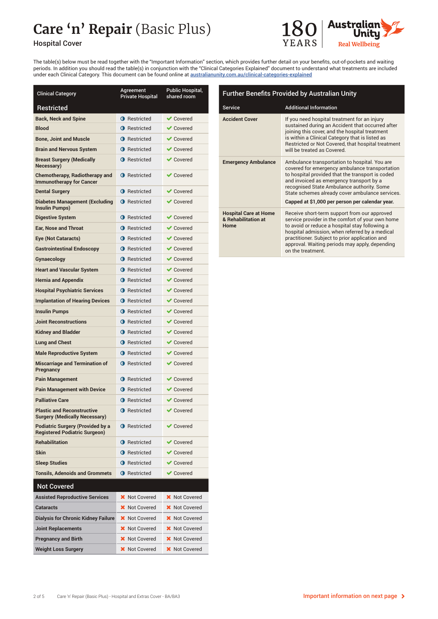## **Care 'n' Repair** (Basic Plus)



#### Hospital Cover

The table(s) below must be read together with the "Important Information" section, which provides further detail on your benefits, out-of-pockets and waiting periods. In addition you should read the table(s) in conjunction with the "Clinical Categories Explained" document to understand what treatments are included under each Clinical Category. This document can be found online at australianunity.com.au/clinical-categories-explained

| <b>Clinical Category</b>                                                        | Agreement<br><b>Private Hospital</b> | Public Hospital,<br>shared room |
|---------------------------------------------------------------------------------|--------------------------------------|---------------------------------|
| Restricted                                                                      |                                      |                                 |
| <b>Back, Neck and Spine</b>                                                     | <b>O</b> Restricted                  | $\vee$ Covered                  |
| <b>Blood</b>                                                                    | <b>O</b> Restricted                  | $\vee$ Covered                  |
| <b>Bone, Joint and Muscle</b>                                                   | <b>O</b> Restricted                  | $\vee$ Covered                  |
| <b>Brain and Nervous System</b>                                                 | <b>O</b> Restricted                  | $\vee$ Covered                  |
| <b>Breast Surgery (Medically</b><br><b>Necessary</b> )                          | <b>O</b> Restricted                  | $\vee$ Covered                  |
| <b>Chemotherapy, Radiotherapy and</b><br><b>Immunotherapy for Cancer</b>        | <b>O</b> Restricted                  | $\vee$ Covered                  |
| <b>Dental Surgery</b>                                                           | <b>O</b> Restricted                  | $\vee$ Covered                  |
| <b>Diabetes Management (Excluding</b><br>Insulin Pumps)                         | <b>O</b> Restricted                  | $\vee$ Covered                  |
| <b>Digestive System</b>                                                         | <b>O</b> Restricted                  | <b>◆ Covered</b>                |
| <b>Ear, Nose and Throat</b>                                                     | <b>O</b> Restricted                  | $\vee$ Covered                  |
| <b>Eye (Not Cataracts)</b>                                                      | <b>O</b> Restricted                  | $\vee$ Covered                  |
| <b>Gastrointestinal Endoscopy</b>                                               | <b>O</b> Restricted                  | $\vee$ Covered                  |
| Gynaecology                                                                     | <b>O</b> Restricted                  | $\vee$ Covered                  |
| <b>Heart and Vascular System</b>                                                | <b>O</b> Restricted                  | $\vee$ Covered                  |
| <b>Hernia and Appendix</b>                                                      | <b>O</b> Restricted                  | $\vee$ Covered                  |
| <b>Hospital Psychiatric Services</b>                                            | <b>O</b> Restricted                  | $\vee$ Covered                  |
| <b>Implantation of Hearing Devices</b>                                          | <b>O</b> Restricted                  | $\vee$ Covered                  |
| <b>Insulin Pumps</b>                                                            | <b>O</b> Restricted                  | $\vee$ Covered                  |
| <b>Joint Reconstructions</b>                                                    | <b>O</b> Restricted                  | $\blacktriangleright$ Covered   |
| <b>Kidney and Bladder</b>                                                       | <b>O</b> Restricted                  | $\vee$ Covered                  |
| <b>Lung and Chest</b>                                                           | <b>O</b> Restricted                  | $\blacktriangleright$ Covered   |
| <b>Male Reproductive System</b>                                                 | <b>O</b> Restricted                  | $\vee$ Covered                  |
| <b>Miscarriage and Termination of</b><br>Pregnancy                              | <b>O</b> Restricted                  | $\vee$ Covered                  |
| <b>Pain Management</b>                                                          | <b>O</b> Restricted                  | $\blacktriangleright$ Covered   |
| <b>Pain Management with Device</b>                                              | <b>O</b> Restricted                  | $\blacktriangleright$ Covered   |
| <b>Palliative Care</b>                                                          | <b>O</b> Restricted                  | $\vee$ Covered                  |
| <b>Plastic and Reconstructive</b><br>Surgery (Medically Necessary)              | <b>O</b> Restricted                  | $\vee$ Covered                  |
| <b>Podiatric Surgery (Provided by a</b><br><b>Registered Podiatric Surgeon)</b> | <b>O</b> Restricted                  | $\blacktriangledown$ Covered    |
| <b>Rehabilitation</b>                                                           | <b>O</b> Restricted                  | $\vee$ Covered                  |
| <b>Skin</b>                                                                     | <b>O</b> Restricted                  | ✔ Covered                       |
| <b>Sleep Studies</b>                                                            | <b>O</b> Restricted                  | $\vee$ Covered                  |
| <b>Tonsils. Adenoids and Grommets</b>                                           | <b>O</b> Restricted                  | <b>◆ Covered</b>                |
| <b>Not Covered</b>                                                              |                                      |                                 |
| <b>Assisted Reproductive Services</b>                                           | X Not Covered                        | <b>X</b> Not Covered            |
| <b>Cataracts</b>                                                                | <b>X</b> Not Covered                 | <b>X</b> Not Covered            |
| <b>Dialysis for Chronic Kidney Failure</b>                                      | <b>X</b> Not Covered                 | <b>X</b> Not Covered            |
| <b>Joint Replacements</b>                                                       | <b>X</b> Not Covered                 | <b>X</b> Not Covered            |
| <b>Pregnancy and Birth</b>                                                      | <b>X</b> Not Covered                 | <b>X</b> Not Covered            |
| <b>Weight Loss Surgery</b>                                                      | <b>X</b> Not Covered                 | <b>X</b> Not Covered            |

| <b>Further Benefits Provided by Australian Unity</b>        |                                                                                                                                                                                                                                                                                                                                                     |  |
|-------------------------------------------------------------|-----------------------------------------------------------------------------------------------------------------------------------------------------------------------------------------------------------------------------------------------------------------------------------------------------------------------------------------------------|--|
| Service                                                     | <b>Additional Information</b>                                                                                                                                                                                                                                                                                                                       |  |
| <b>Accident Cover</b>                                       | If you need hospital treatment for an injury<br>sustained during an Accident that occurred after<br>joining this cover, and the hospital treatment<br>is within a Clinical Category that is listed as<br>Restricted or Not Covered, that hospital treatment<br>will be treated as Covered.                                                          |  |
| <b>Emergency Ambulance</b>                                  | Ambulance transportation to hospital. You are<br>covered for emergency ambulance transportation<br>to hospital provided that the transport is coded<br>and invoiced as emergency transport by a<br>recognised State Ambulance authority. Some<br>State schemes already cover ambulance services.<br>Capped at \$1,000 per person per calendar year. |  |
| <b>Hospital Care at Home</b><br>& Rehabilitation at<br>Home | Receive short-term support from our approved<br>service provider in the comfort of your own home<br>to avoid or reduce a hospital stay following a<br>hospital admission, when referred by a medical<br>practitioner. Subject to prior application and<br>approval. Waiting periods may apply, depending<br>on the treatment.                       |  |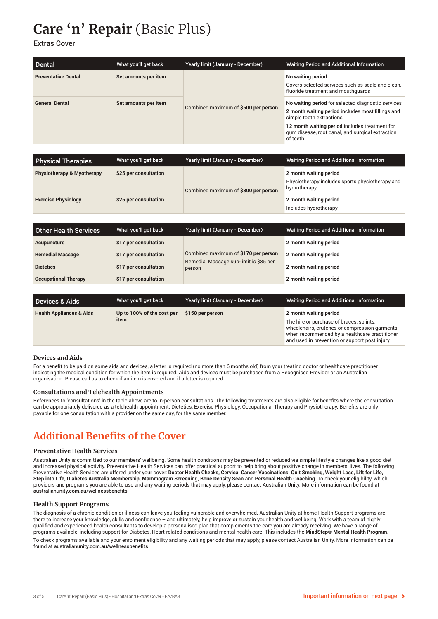## **Care 'n' Repair** (Basic Plus)

Extras Cover

| Dental                     | What you'll get back | Yearly limit (January - December)    | <b>Waiting Period and Additional Information</b>                                                                                                                                                                                                      |
|----------------------------|----------------------|--------------------------------------|-------------------------------------------------------------------------------------------------------------------------------------------------------------------------------------------------------------------------------------------------------|
| <b>Preventative Dental</b> | Set amounts per item | Combined maximum of \$500 per person | No waiting period<br>Covers selected services such as scale and clean,<br>fluoride treatment and mouthquards                                                                                                                                          |
| <b>General Dental</b>      | Set amounts per item |                                      | No waiting period for selected diagnostic services<br>2 month waiting period includes most fillings and<br>simple tooth extractions<br>12 month waiting period includes treatment for<br>gum disease, root canal, and surgical extraction<br>of teeth |

| <b>Physical Therapies</b>             | What you'll get back  | Yearly limit (January - December)    | Waiting Period and Additional Information                                                 |
|---------------------------------------|-----------------------|--------------------------------------|-------------------------------------------------------------------------------------------|
| <b>Physiotherapy &amp; Myotherapy</b> | \$25 per consultation | Combined maximum of \$300 per person | 2 month waiting period<br>Physiotherapy includes sports physiotherapy and<br>hydrotherapy |
| <b>Exercise Physiology</b>            | \$25 per consultation |                                      | 2 month waiting period<br>Includes hydrotherapy                                           |

| <b>Other Health Services</b> | What you'll get back  | Yearly limit (January - December)                                                        | Waiting Period and Additional Information |
|------------------------------|-----------------------|------------------------------------------------------------------------------------------|-------------------------------------------|
| Acupuncture                  | \$17 per consultation | Combined maximum of \$170 per person<br>Remedial Massage sub-limit is \$85 per<br>person | 2 month waiting period                    |
| <b>Remedial Massage</b>      | \$17 per consultation |                                                                                          | 2 month waiting period                    |
| <b>Dietetics</b>             | \$17 per consultation |                                                                                          | 2 month waiting period                    |
| <b>Occupational Therapy</b>  | \$17 per consultation |                                                                                          | 2 month waiting period                    |

| <b>Devices &amp; Aids</b>           | What you'll get back               | Yearly limit (January - December) | Waiting Period and Additional Information                                                                                                                                                                             |
|-------------------------------------|------------------------------------|-----------------------------------|-----------------------------------------------------------------------------------------------------------------------------------------------------------------------------------------------------------------------|
| <b>Health Appliances &amp; Aids</b> | Up to 100% of the cost per<br>item | \$150 per person                  | 2 month waiting period<br>The hire or purchase of braces, splints,<br>wheelchairs, crutches or compression garments<br>when recommended by a healthcare practitioner<br>and used in prevention or support post injury |

#### **Devices and Aids**

For a benefit to be paid on some aids and devices, a letter is required (no more than 6 months old) from your treating doctor or healthcare practitioner indicating the medical condition for which the item is required. Aids and devices must be purchased from a Recognised Provider or an Australian organisation. Please call us to check if an item is covered and if a letter is required.

#### **Consultations and Telehealth Appointments**

References to 'consultations' in the table above are to in-person consultations. The following treatments are also eligible for benefits where the consultation can be appropriately delivered as a telehealth appointment: Dietetics, Exercise Physiology, Occupational Therapy and Physiotherapy. Benefits are only payable for one consultation with a provider on the same day, for the same member.

### **Additional Benefits of the Cover**

#### **Preventative Health Services**

Australian Unity is committed to our members' wellbeing. Some health conditions may be prevented or reduced via simple lifestyle changes like a good diet and increased physical activity. Preventative Health Services can offer practical support to help bring about positive change in members' lives. The following Preventative Health Services are offered under your cover: **Doctor Health Checks, Cervical Cancer Vaccinations, Quit Smoking, Weight Loss, Lift for Life, Step into Life, Diabetes Australia Membership, Mammogram Screening, Bone Density Scan** and **Personal Health Coaching**. To check your eligibility, which providers and programs you are able to use and any waiting periods that may apply, please contact Australian Unity. More information can be found at australianunity.com.au/wellnessbenefits

#### **Health Support Programs**

The diagnosis of a chronic condition or illness can leave you feeling vulnerable and overwhelmed. Australian Unity at home Health Support programs are there to increase your knowledge, skills and confidence – and ultimately, help improve or sustain your health and wellbeing. Work with a team of highly qualified and experienced health consultants to develop a personalised plan that complements the care you are already receiving. We have a range of programs available, including support for Diabetes, Heart-related conditions and mental health care. This includes the **MindStep® Mental Health Program**.

To check programs available and your enrolment eligibility and any waiting periods that may apply, please contact Australian Unity. More information can be found at australianunity.com.au/wellnessbenefits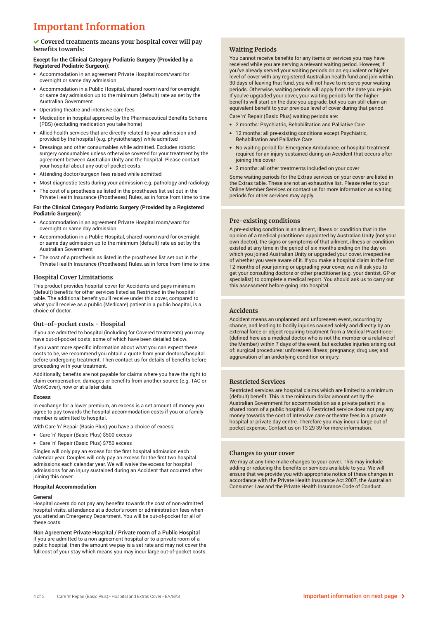## **Important Information**

#### **Covered treatments means your hospital cover will pay benefits towards:**

#### **Except for the Clinical Category Podiatric Surgery (Provided by a Registered Podiatric Surgeon):**

- Accommodation in an agreement Private Hospital room/ward for overnight or same day admission
- Accommodation in a Public Hospital, shared room/ward for overnight or same day admission up to the minimum (default) rate as set by the Australian Government
- Operating theatre and intensive care fees
- Medication in hospital approved by the Pharmaceutical Benefits Scheme (PBS) (excluding medication you take home)
- Allied health services that are directly related to your admission and provided by the hospital (e.g. physiotherapy) while admitted
- Dressings and other consumables while admitted. Excludes robotic surgery consumables unless otherwise covered for your treatment by the agreement between Australian Unity and the hospital. Please contact your hospital about any out-of-pocket costs.
- Attending doctor/surgeon fees raised while admitted
- Most diagnostic tests during your admission e.g. pathology and radiology
- The cost of a prosthesis as listed in the prostheses list set out in the Private Health Insurance (Prostheses) Rules, as in force from time to time

#### **For the Clinical Category Podiatric Surgery (Provided by a Registered Podiatric Surgeon):**

- Accommodation in an agreement Private Hospital room/ward for overnight or same day admission
- Accommodation in a Public Hospital, shared room/ward for overnight or same day admission up to the minimum (default) rate as set by the Australian Government
- The cost of a prosthesis as listed in the prostheses list set out in the Private Health Insurance (Prostheses) Rules, as in force from time to time

#### **Hospital Cover Limitations**

This product provides hospital cover for Accidents and pays minimum (default) benefits for other services listed as Restricted in the hospital table. The additional benefit you'll receive under this cover, compared to what you'll receive as a public (Medicare) patient in a public hospital, is a choice of doctor.

#### **Out-of-pocket costs - Hospital**

If you are admitted to hospital (including for Covered treatments) you may have out-of-pocket costs, some of which have been detailed below.

If you want more specific information about what you can expect these costs to be, we recommend you obtain a quote from your doctors/hospital before undergoing treatment. Then contact us for details of benefits before proceeding with your treatment.

Additionally, benefits are not payable for claims where you have the right to claim compensation, damages or benefits from another source (e.g. TAC or WorkCover), now or at a later date.

#### **Excess**

In exchange for a lower premium, an excess is a set amount of money you agree to pay towards the hospital accommodation costs if you or a family member is admitted to hospital.

With Care 'n' Repair (Basic Plus) you have a choice of excess:

- Care 'n' Repair (Basic Plus) \$500 excess
- Care 'n' Repair (Basic Plus) \$750 excess

Singles will only pay an excess for the first hospital admission each calendar year. Couples will only pay an excess for the first two hospital admissions each calendar year. We will waive the excess for hospital admissions for an injury sustained during an Accident that occurred after joining this cover.

#### **Hospital Accommodation**

#### General

Hospital covers do not pay any benefits towards the cost of non-admitted hospital visits, attendance at a doctor's room or administration fees when you attend an Emergency Department. You will be out-of-pocket for all of these costs.

Non Agreement Private Hospital / Private room of a Public Hospital If you are admitted to a non agreement hospital or to a private room of a public hospital, then the amount we pay is a set rate and may not cover the full cost of your stay which means you may incur large out-of-pocket costs.

#### **Waiting Periods**

You cannot receive benefits for any items or services you may have received while you are serving a relevant waiting period. However, if you've already served your waiting periods on an equivalent or higher level of cover with any registered Australian health fund and join within 30 days of leaving that fund, you will not have to re-serve your waiting periods. Otherwise, waiting periods will apply from the date you re-join. If you've upgraded your cover, your waiting periods for the higher benefits will start on the date you upgrade, but you can still claim an equivalent benefit to your previous level of cover during that period.

Care 'n' Repair (Basic Plus) waiting periods are:

- 2 months: Psychiatric, Rehabilitation and Palliative Care
- 12 months: all pre-existing conditions except Psychiatric, Rehabilitation and Palliative Care
- No waiting period for Emergency Ambulance, or hospital treatment required for an injury sustained during an Accident that occurs after joining this cover
- 2 months: all other treatments included on your cover

Some waiting periods for the Extras services on your cover are listed in the Extras table. These are not an exhaustive list. Please refer to your Online Member Services or contact us for more information as waiting periods for other services may apply.

#### **Pre-existing conditions**

A pre-existing condition is an ailment, illness or condition that in the opinion of a medical practitioner appointed by Australian Unity (not your own doctor), the signs or symptoms of that ailment, illness or condition existed at any time in the period of six months ending on the day on which you joined Australian Unity or upgraded your cover, irrespective of whether you were aware of it. If you make a hospital claim in the first 12 months of your joining or upgrading your cover, we will ask you to get your consulting doctors or other practitioner (e.g. your dentist, GP or specialist) to complete a medical report. You should ask us to carry out this assessment before going into hospital.

#### **Accidents**

Accident means an unplanned and unforeseen event, occurring by chance, and leading to bodily injuries caused solely and directly by an external force or object requiring treatment from a Medical Practitioner (defined here as a medical doctor who is not the member or a relative of the Member) within 7 days of the event, but excludes injuries arising out of: surgical procedures; unforeseen illness; pregnancy; drug use; and aggravation of an underlying condition or injury.

#### **Restricted Services**

Restricted services are hospital claims which are limited to a minimum (default) benefit. This is the minimum dollar amount set by the Australian Government for accommodation as a private patient in a shared room of a public hospital. A Restricted service does not pay any money towards the cost of intensive care or theatre fees in a private hospital or private day centre. Therefore you may incur a large out of pocket expense. Contact us on 13 29 39 for more information.

#### **Changes to your cover**

We may at any time make changes to your cover. This may include adding or reducing the benefits or services available to you. We will ensure that we provide you with appropriate notice of these changes in accordance with the Private Health Insurance Act 2007, the Australian Consumer Law and the Private Health Insurance Code of Conduct.